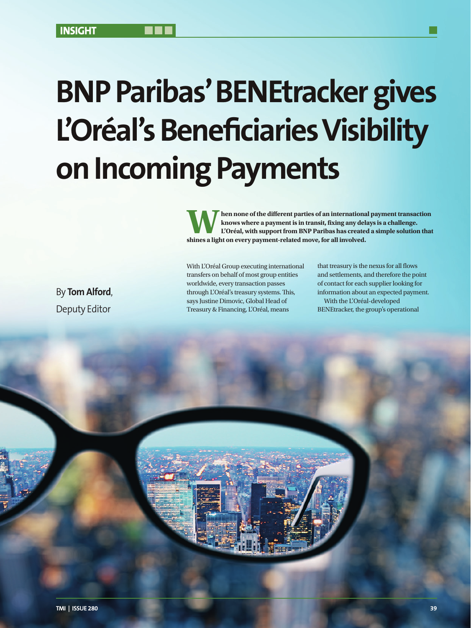# **BNP Paribas' BENEtracker gives L'Oréal's Beneficiaries Visibility on Incoming Payments**

With L'Oréal Group executing international transfers on behalf of most group entities worldwide, every transaction passes through L'Oréal's treasury systems. This, says Justine Dimovic, Global Head of Treasury & Financing, L'Oréal, means

**When none of the different parties of an international payment transaction knows where a payment is in transit, fixing any delays is a challenge. L'Oréal, with support from BNP Paribas has created a simple solution that shines a light on every payment-related move, for all involved.** 

By **Tom Alford**, Deputy Editor

that treasury is the nexus for all flows and settlements, and therefore the point of contact for each supplier looking for information about an expected payment. With the L'Oréal-developed BENEtracker, the group's operational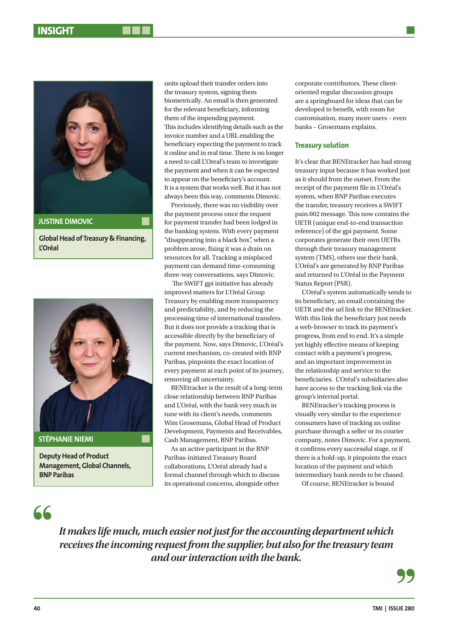

**Global Head of Treasury & Financing, L'Oréal**



**Deputy Head of Product Management, Global Channels, BNP Paribas**

units upload their transfer orders into the treasury system, signing them biometrically. An email is then generated for the relevant beneficiary, informing them of the impending payment. This includes identifying details such as the invoice number and a URL enabling the beneficiary expecting the payment to track it online and in real time. There is no longer a need to call L'Oreal's team to investigate the payment and when it can be expected to appear on the beneficiary's account. It is a system that works well. But it has not always been this way, comments Dimovic.

Previously, there was no visibility over the payment process once the request for payment transfer had been lodged in the banking system. With every payment "disappearing into a black box", when a problem arose, fixing it was a drain on resources for all. Tracking a misplaced payment can demand time-consuming three-way conversations, says Dimovic.

 The SWIFT gpi initiative has already improved matters for L'Oréal Group Treasury by enabling more transparency and predictability, and by reducing the processing time of international transfers. But it does not provide a tracking that is accessible directly by the beneficiary of the payment. Now, says Dimovic, L'Oréal's current mechanism, co-created with BNP Paribas, pinpoints the exact location of every payment at each point of its journey, removing all uncertainty.

BENEtracker is the result of a long-term close relationship between BNP Paribas and L'Oréal, with the bank very much in tune with its client's needs, comments Wim Grosemans, Global Head of Product Development, Payments and Receivables, Cash Management, BNP Paribas.

As an active participant in the BNP Paribas-initiated Treasury Board collaborations, L'Oréal already had a formal channel through which to discuss its operational concerns, alongside other

corporate contributors. These clientoriented regular discussion groups are a springboard for ideas that can be developed to benefit, with room for customisation, many more users – even banks – Grosemans explains.

### **Treasury solution**

It's clear that BENEtracker has had strong treasury input because it has worked just as it should from the outset. From the receipt of the payment file in L'Oréal's system, when BNP Paribas executes the transfer, treasury receives a SWIFT pain.002 message. This now contains the UETR (unique end-to-end transaction reference) of the gpi payment. Some corporates generate their own UETRs through their treasury management system (TMS), others use their bank. L'Oréal's are generated by BNP Paribas and returned to L'Oréal in the Payment Status Report (PSR).

L'Oréal's system automatically sends to its beneficiary, an email containing the UETR and the url link to the BENEtracker. With this link the beneficiary just needs a web-browser to track its payment's progress, from end to end. It's a simple yet highly effective means of keeping contact with a payment's progress, and an important improvement in the relationship and service to the beneficiaries. L'Oréal's subsidiaries also have access to the tracking link via the group's internal portal.

BENEtracker's tracking process is visually very similar to the experience consumers have of tracking an online purchase through a seller or its courier company, notes Dimovic. For a payment, it confirms every successful stage, or if there is a hold-up, it pinpoints the exact location of the payment and which intermediary bank needs to be chased.

Of course, BENEtracker is bound

# 66

*It makes life much, much easier not just for the accounting department which receives the incoming request from the supplier, but also for the treasury team and our interaction with the bank.*